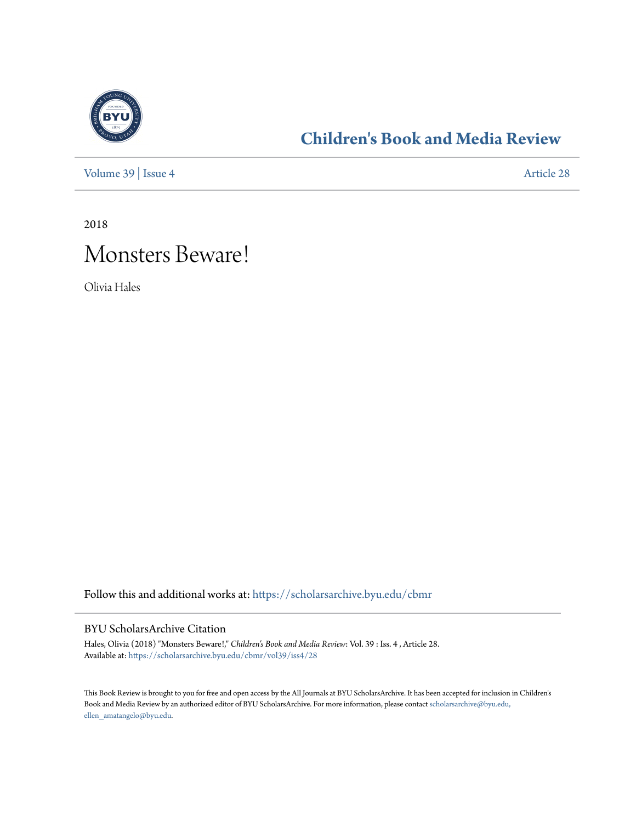

### **[Children's Book and Media Review](https://scholarsarchive.byu.edu/cbmr?utm_source=scholarsarchive.byu.edu%2Fcbmr%2Fvol39%2Fiss4%2F28&utm_medium=PDF&utm_campaign=PDFCoverPages)**

[Volume 39](https://scholarsarchive.byu.edu/cbmr/vol39?utm_source=scholarsarchive.byu.edu%2Fcbmr%2Fvol39%2Fiss4%2F28&utm_medium=PDF&utm_campaign=PDFCoverPages) | [Issue 4](https://scholarsarchive.byu.edu/cbmr/vol39/iss4?utm_source=scholarsarchive.byu.edu%2Fcbmr%2Fvol39%2Fiss4%2F28&utm_medium=PDF&utm_campaign=PDFCoverPages) [Article 28](https://scholarsarchive.byu.edu/cbmr/vol39/iss4/28?utm_source=scholarsarchive.byu.edu%2Fcbmr%2Fvol39%2Fiss4%2F28&utm_medium=PDF&utm_campaign=PDFCoverPages)

2018

# Monsters Beware!

Olivia Hales

Follow this and additional works at: [https://scholarsarchive.byu.edu/cbmr](https://scholarsarchive.byu.edu/cbmr?utm_source=scholarsarchive.byu.edu%2Fcbmr%2Fvol39%2Fiss4%2F28&utm_medium=PDF&utm_campaign=PDFCoverPages)

#### BYU ScholarsArchive Citation

Hales, Olivia (2018) "Monsters Beware!," *Children's Book and Media Review*: Vol. 39 : Iss. 4 , Article 28. Available at: [https://scholarsarchive.byu.edu/cbmr/vol39/iss4/28](https://scholarsarchive.byu.edu/cbmr/vol39/iss4/28?utm_source=scholarsarchive.byu.edu%2Fcbmr%2Fvol39%2Fiss4%2F28&utm_medium=PDF&utm_campaign=PDFCoverPages)

This Book Review is brought to you for free and open access by the All Journals at BYU ScholarsArchive. It has been accepted for inclusion in Children's Book and Media Review by an authorized editor of BYU ScholarsArchive. For more information, please contact [scholarsarchive@byu.edu,](mailto:scholarsarchive@byu.edu,%20ellen_amatangelo@byu.edu) [ellen\\_amatangelo@byu.edu.](mailto:scholarsarchive@byu.edu,%20ellen_amatangelo@byu.edu)